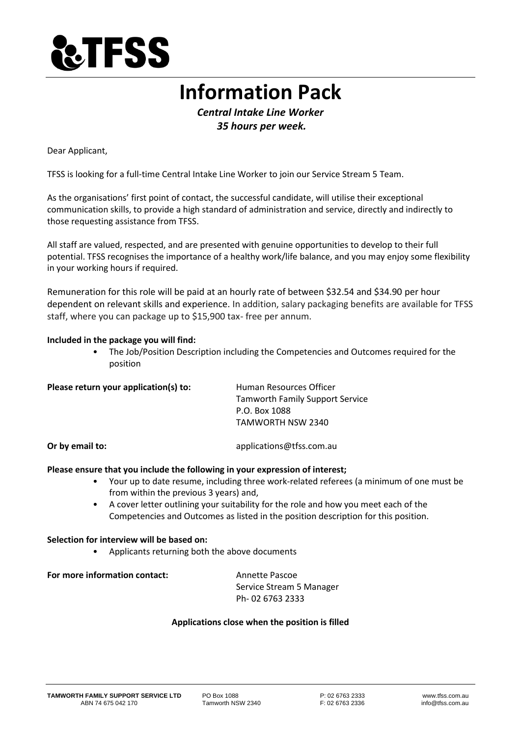

# **Information Pack**

*Central Intake Line Worker 35 hours per week.*

Dear Applicant,

TFSS is looking for a full-time Central Intake Line Worker to join our Service Stream 5 Team.

As the organisations' first point of contact, the successful candidate, will utilise their exceptional communication skills, to provide a high standard of administration and service, directly and indirectly to those requesting assistance from TFSS.

All staff are valued, respected, and are presented with genuine opportunities to develop to their full potential. TFSS recognises the importance of a healthy work/life balance, and you may enjoy some flexibility in your working hours if required.

Remuneration for this role will be paid at an hourly rate of between \$32.54 and \$34.90 per hour dependent on relevant skills and experience. In addition, salary packaging benefits are available for TFSS staff, where you can package up to \$15,900 tax- free per annum.

#### **Included in the package you will find:**

• The Job/Position Description including the Competencies and Outcomes required for the position

| Please return your application(s) to: | Human Resources Officer                |
|---------------------------------------|----------------------------------------|
|                                       | <b>Tamworth Family Support Service</b> |
|                                       | P.O. Box 1088                          |
|                                       | TAMWORTH NSW 2340                      |
|                                       |                                        |

**Or by email to:** applications@tfss.com.au

#### **Please ensure that you include the following in your expression of interest;**

- Your up to date resume, including three work-related referees (a minimum of one must be from within the previous 3 years) and,
- A cover letter outlining your suitability for the role and how you meet each of the Competencies and Outcomes as listed in the position description for this position.

#### **Selection for interview will be based on:**

• Applicants returning both the above documents

## **For more information contact:** Annette Pascoe

Service Stream 5 Manager Ph- 02 6763 2333

#### **Applications close when the position is filled**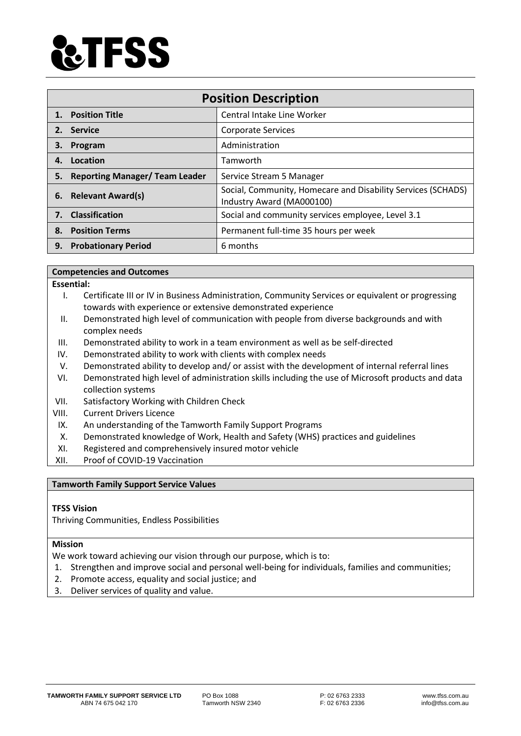

| <b>Position Description</b> |                                       |                                                                                           |
|-----------------------------|---------------------------------------|-------------------------------------------------------------------------------------------|
|                             | 1. Position Title                     | Central Intake Line Worker                                                                |
| 2.                          | <b>Service</b>                        | <b>Corporate Services</b>                                                                 |
| З.                          | Program                               | Administration                                                                            |
| 4.                          | Location                              | Tamworth                                                                                  |
| 5.                          | <b>Reporting Manager/ Team Leader</b> | Service Stream 5 Manager                                                                  |
|                             | 6. Relevant Award(s)                  | Social, Community, Homecare and Disability Services (SCHADS)<br>Industry Award (MA000100) |
| 7.                          | <b>Classification</b>                 | Social and community services employee, Level 3.1                                         |
| 8.                          | <b>Position Terms</b>                 | Permanent full-time 35 hours per week                                                     |
| 9.                          | <b>Probationary Period</b>            | 6 months                                                                                  |

#### **Competencies and Outcomes**

**Essential:** 

- I. Certificate III or IV in Business Administration, Community Services or equivalent or progressing towards with experience or extensive demonstrated experience
- II. Demonstrated high level of communication with people from diverse backgrounds and with complex needs
- III. Demonstrated ability to work in a team environment as well as be self-directed
- IV. Demonstrated ability to work with clients with complex needs
- V. Demonstrated ability to develop and/ or assist with the development of internal referral lines
- VI. Demonstrated high level of administration skills including the use of Microsoft products and data collection systems
- VII. Satisfactory Working with Children Check
- VIII. Current Drivers Licence
- IX. An understanding of the Tamworth Family Support Programs
- X. Demonstrated knowledge of Work, Health and Safety (WHS) practices and guidelines
- XI. Registered and comprehensively insured motor vehicle
- XII. Proof of COVID-19 Vaccination

#### **Tamworth Family Support Service Values**

#### **TFSS Vision**

Thriving Communities, Endless Possibilities

#### **Mission**

We work toward achieving our vision through our purpose, which is to:

- 1. Strengthen and improve social and personal well-being for individuals, families and communities;
- 2. Promote access, equality and social justice; and
- 3. Deliver services of quality and value.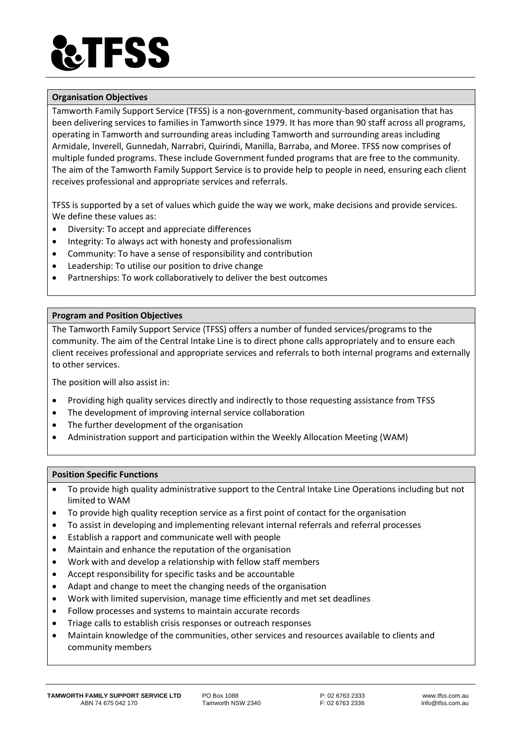# **TFSS**

# **Organisation Objectives**

Tamworth Family Support Service (TFSS) is a non-government, community-based organisation that has been delivering services to families in Tamworth since 1979. It has more than 90 staff across all programs, operating in Tamworth and surrounding areas including Tamworth and surrounding areas including Armidale, Inverell, Gunnedah, Narrabri, Quirindi, Manilla, Barraba, and Moree. TFSS now comprises of multiple funded programs. These include Government funded programs that are free to the community. The aim of the Tamworth Family Support Service is to provide help to people in need, ensuring each client receives professional and appropriate services and referrals.

TFSS is supported by a set of values which guide the way we work, make decisions and provide services. We define these values as:

- Diversity: To accept and appreciate differences
- Integrity: To always act with honesty and professionalism
- Community: To have a sense of responsibility and contribution
- Leadership: To utilise our position to drive change
- Partnerships: To work collaboratively to deliver the best outcomes

## **Program and Position Objectives**

The Tamworth Family Support Service (TFSS) offers a number of funded services/programs to the community. The aim of the Central Intake Line is to direct phone calls appropriately and to ensure each client receives professional and appropriate services and referrals to both internal programs and externally to other services.

The position will also assist in:

- Providing high quality services directly and indirectly to those requesting assistance from TFSS
- The development of improving internal service collaboration
- The further development of the organisation
- Administration support and participation within the Weekly Allocation Meeting (WAM)

#### **Position Specific Functions**

- To provide high quality administrative support to the Central Intake Line Operations including but not limited to WAM
- To provide high quality reception service as a first point of contact for the organisation
- To assist in developing and implementing relevant internal referrals and referral processes
- Establish a rapport and communicate well with people
- Maintain and enhance the reputation of the organisation
- Work with and develop a relationship with fellow staff members
- Accept responsibility for specific tasks and be accountable
- Adapt and change to meet the changing needs of the organisation
- Work with limited supervision, manage time efficiently and met set deadlines
- Follow processes and systems to maintain accurate records
- Triage calls to establish crisis responses or outreach responses
- Maintain knowledge of the communities, other services and resources available to clients and community members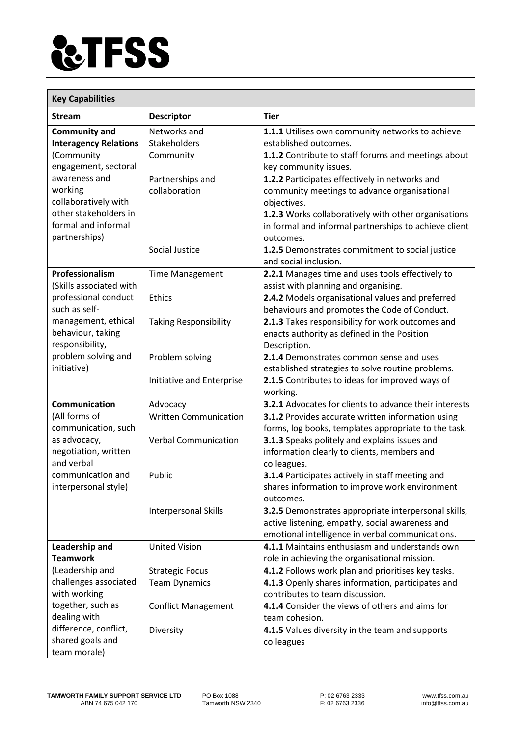

| <b>Key Capabilities</b>              |                                          |                                                                                                       |  |
|--------------------------------------|------------------------------------------|-------------------------------------------------------------------------------------------------------|--|
| Stream                               | <b>Descriptor</b>                        | <b>Tier</b>                                                                                           |  |
| <b>Community and</b>                 | Networks and                             | 1.1.1 Utilises own community networks to achieve                                                      |  |
| <b>Interagency Relations</b>         | Stakeholders                             | established outcomes.                                                                                 |  |
| (Community                           | Community                                | 1.1.2 Contribute to staff forums and meetings about                                                   |  |
| engagement, sectoral                 |                                          | key community issues.                                                                                 |  |
| awareness and                        | Partnerships and                         | 1.2.2 Participates effectively in networks and                                                        |  |
| working<br>collaboratively with      | collaboration                            | community meetings to advance organisational<br>objectives.                                           |  |
| other stakeholders in                |                                          | 1.2.3 Works collaboratively with other organisations                                                  |  |
| formal and informal<br>partnerships) |                                          | in formal and informal partnerships to achieve client<br>outcomes.                                    |  |
|                                      | Social Justice                           | 1.2.5 Demonstrates commitment to social justice                                                       |  |
|                                      |                                          | and social inclusion.                                                                                 |  |
| Professionalism                      | <b>Time Management</b>                   | 2.2.1 Manages time and uses tools effectively to                                                      |  |
| (Skills associated with              |                                          | assist with planning and organising.                                                                  |  |
| professional conduct                 | <b>Ethics</b>                            | 2.4.2 Models organisational values and preferred                                                      |  |
| such as self-                        |                                          | behaviours and promotes the Code of Conduct.                                                          |  |
| management, ethical                  | <b>Taking Responsibility</b>             | 2.1.3 Takes responsibility for work outcomes and                                                      |  |
| behaviour, taking                    |                                          | enacts authority as defined in the Position                                                           |  |
| responsibility,                      |                                          | Description.                                                                                          |  |
| problem solving and                  | Problem solving                          | 2.1.4 Demonstrates common sense and uses                                                              |  |
| initiative)                          |                                          | established strategies to solve routine problems.                                                     |  |
|                                      | Initiative and Enterprise                | 2.1.5 Contributes to ideas for improved ways of                                                       |  |
| Communication                        |                                          | working.<br><b>3.2.1</b> Advocates for clients to advance their interests                             |  |
| (All forms of                        | Advocacy<br><b>Written Communication</b> |                                                                                                       |  |
| communication, such                  |                                          | 3.1.2 Provides accurate written information using                                                     |  |
| as advocacy,                         | <b>Verbal Communication</b>              | forms, log books, templates appropriate to the task.<br>3.1.3 Speaks politely and explains issues and |  |
| negotiation, written                 |                                          | information clearly to clients, members and                                                           |  |
| and verbal                           |                                          | colleagues.                                                                                           |  |
| communication and                    | Public                                   | 3.1.4 Participates actively in staff meeting and                                                      |  |
| interpersonal style)                 |                                          | shares information to improve work environment<br>outcomes.                                           |  |
|                                      | Interpersonal Skills                     | 3.2.5 Demonstrates appropriate interpersonal skills,                                                  |  |
|                                      |                                          | active listening, empathy, social awareness and                                                       |  |
|                                      |                                          | emotional intelligence in verbal communications.                                                      |  |
| Leadership and                       | <b>United Vision</b>                     | 4.1.1 Maintains enthusiasm and understands own                                                        |  |
| <b>Teamwork</b>                      |                                          | role in achieving the organisational mission.                                                         |  |
| (Leadership and                      | <b>Strategic Focus</b>                   | 4.1.2 Follows work plan and prioritises key tasks.                                                    |  |
| challenges associated                | <b>Team Dynamics</b>                     | 4.1.3 Openly shares information, participates and                                                     |  |
| with working                         |                                          | contributes to team discussion.                                                                       |  |
| together, such as                    | <b>Conflict Management</b>               | 4.1.4 Consider the views of others and aims for                                                       |  |
| dealing with                         |                                          | team cohesion.                                                                                        |  |
| difference, conflict,                | Diversity                                | 4.1.5 Values diversity in the team and supports                                                       |  |
| shared goals and                     |                                          | colleagues                                                                                            |  |
| team morale)                         |                                          |                                                                                                       |  |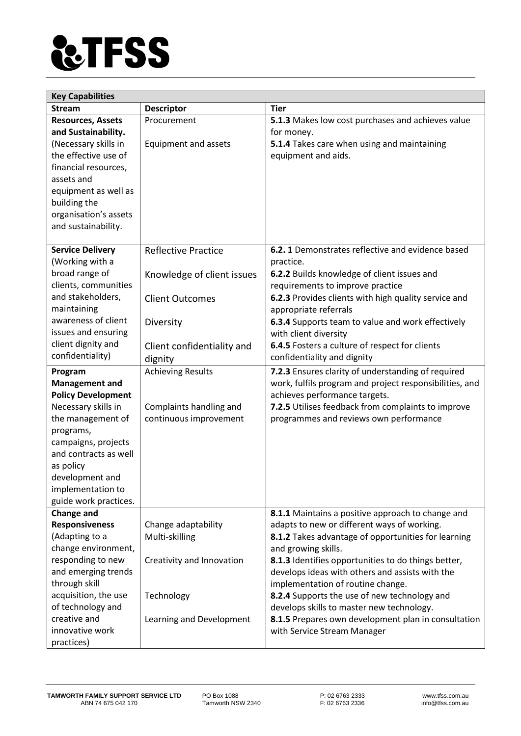

| <b>Key Capabilities</b>   |                            |                                                         |  |
|---------------------------|----------------------------|---------------------------------------------------------|--|
| <b>Stream</b>             | <b>Descriptor</b>          | <b>Tier</b>                                             |  |
| <b>Resources, Assets</b>  | Procurement                | 5.1.3 Makes low cost purchases and achieves value       |  |
| and Sustainability.       |                            | for money.                                              |  |
| (Necessary skills in      | Equipment and assets       | 5.1.4 Takes care when using and maintaining             |  |
| the effective use of      |                            | equipment and aids.                                     |  |
| financial resources,      |                            |                                                         |  |
| assets and                |                            |                                                         |  |
| equipment as well as      |                            |                                                         |  |
| building the              |                            |                                                         |  |
| organisation's assets     |                            |                                                         |  |
| and sustainability.       |                            |                                                         |  |
|                           |                            |                                                         |  |
| <b>Service Delivery</b>   | <b>Reflective Practice</b> | 6.2.1 Demonstrates reflective and evidence based        |  |
| (Working with a           |                            | practice.                                               |  |
| broad range of            | Knowledge of client issues | 6.2.2 Builds knowledge of client issues and             |  |
| clients, communities      |                            | requirements to improve practice                        |  |
| and stakeholders,         | <b>Client Outcomes</b>     | 6.2.3 Provides clients with high quality service and    |  |
| maintaining               |                            | appropriate referrals                                   |  |
| awareness of client       | Diversity                  | 6.3.4 Supports team to value and work effectively       |  |
| issues and ensuring       |                            | with client diversity                                   |  |
| client dignity and        | Client confidentiality and | 6.4.5 Fosters a culture of respect for clients          |  |
| confidentiality)          | dignity                    | confidentiality and dignity                             |  |
| Program                   | <b>Achieving Results</b>   | 7.2.3 Ensures clarity of understanding of required      |  |
| <b>Management and</b>     |                            | work, fulfils program and project responsibilities, and |  |
| <b>Policy Development</b> |                            | achieves performance targets.                           |  |
| Necessary skills in       | Complaints handling and    | 7.2.5 Utilises feedback from complaints to improve      |  |
| the management of         | continuous improvement     | programmes and reviews own performance                  |  |
| programs,                 |                            |                                                         |  |
| campaigns, projects       |                            |                                                         |  |
| and contracts as well     |                            |                                                         |  |
| as policy                 |                            |                                                         |  |
| development and           |                            |                                                         |  |
| implementation to         |                            |                                                         |  |
| guide work practices.     |                            |                                                         |  |
| <b>Change and</b>         |                            | 8.1.1 Maintains a positive approach to change and       |  |
| <b>Responsiveness</b>     | Change adaptability        | adapts to new or different ways of working.             |  |
| (Adapting to a            | Multi-skilling             | 8.1.2 Takes advantage of opportunities for learning     |  |
| change environment,       |                            | and growing skills.                                     |  |
| responding to new         | Creativity and Innovation  | 8.1.3 Identifies opportunities to do things better,     |  |
| and emerging trends       |                            | develops ideas with others and assists with the         |  |
| through skill             |                            | implementation of routine change.                       |  |
| acquisition, the use      | Technology                 | 8.2.4 Supports the use of new technology and            |  |
| of technology and         |                            | develops skills to master new technology.               |  |
| creative and              | Learning and Development   | 8.1.5 Prepares own development plan in consultation     |  |
| innovative work           |                            | with Service Stream Manager                             |  |
| practices)                |                            |                                                         |  |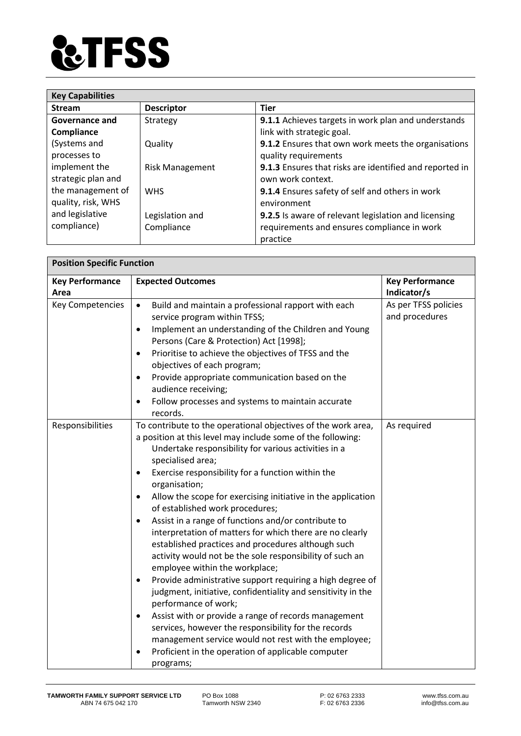

| <b>Key Capabilities</b> |                        |                                                         |  |
|-------------------------|------------------------|---------------------------------------------------------|--|
| <b>Stream</b>           | <b>Descriptor</b>      | <b>Tier</b>                                             |  |
| Governance and          | Strategy               | 9.1.1 Achieves targets in work plan and understands     |  |
| Compliance              |                        | link with strategic goal.                               |  |
| (Systems and            | Quality                | 9.1.2 Ensures that own work meets the organisations     |  |
| processes to            |                        | quality requirements                                    |  |
| implement the           | <b>Risk Management</b> | 9.1.3 Ensures that risks are identified and reported in |  |
| strategic plan and      |                        | own work context.                                       |  |
| the management of       | <b>WHS</b>             | 9.1.4 Ensures safety of self and others in work         |  |
| quality, risk, WHS      |                        | environment                                             |  |
| and legislative         | Legislation and        | 9.2.5 Is aware of relevant legislation and licensing    |  |
| compliance)             | Compliance             | requirements and ensures compliance in work             |  |
|                         |                        | practice                                                |  |

| <b>Position Specific Function</b> |                                                                                                                                                                                                                                                                                                                                                                                                                                                                                                                                                                                                                                                                                                                                                                                                                                                                                                                                                                                                                                                                                                                                 |                                        |  |
|-----------------------------------|---------------------------------------------------------------------------------------------------------------------------------------------------------------------------------------------------------------------------------------------------------------------------------------------------------------------------------------------------------------------------------------------------------------------------------------------------------------------------------------------------------------------------------------------------------------------------------------------------------------------------------------------------------------------------------------------------------------------------------------------------------------------------------------------------------------------------------------------------------------------------------------------------------------------------------------------------------------------------------------------------------------------------------------------------------------------------------------------------------------------------------|----------------------------------------|--|
| <b>Key Performance</b>            | <b>Expected Outcomes</b>                                                                                                                                                                                                                                                                                                                                                                                                                                                                                                                                                                                                                                                                                                                                                                                                                                                                                                                                                                                                                                                                                                        | <b>Key Performance</b>                 |  |
| Area                              |                                                                                                                                                                                                                                                                                                                                                                                                                                                                                                                                                                                                                                                                                                                                                                                                                                                                                                                                                                                                                                                                                                                                 | Indicator/s                            |  |
| Key Competencies                  | Build and maintain a professional rapport with each<br>$\bullet$<br>service program within TFSS;<br>Implement an understanding of the Children and Young<br>$\bullet$<br>Persons (Care & Protection) Act [1998];<br>Prioritise to achieve the objectives of TFSS and the<br>$\bullet$<br>objectives of each program;<br>Provide appropriate communication based on the<br>$\bullet$<br>audience receiving;<br>Follow processes and systems to maintain accurate<br>$\bullet$<br>records.                                                                                                                                                                                                                                                                                                                                                                                                                                                                                                                                                                                                                                        | As per TFSS policies<br>and procedures |  |
| Responsibilities                  | To contribute to the operational objectives of the work area,<br>a position at this level may include some of the following:<br>Undertake responsibility for various activities in a<br>specialised area;<br>Exercise responsibility for a function within the<br>$\bullet$<br>organisation;<br>Allow the scope for exercising initiative in the application<br>$\bullet$<br>of established work procedures;<br>Assist in a range of functions and/or contribute to<br>$\bullet$<br>interpretation of matters for which there are no clearly<br>established practices and procedures although such<br>activity would not be the sole responsibility of such an<br>employee within the workplace;<br>Provide administrative support requiring a high degree of<br>٠<br>judgment, initiative, confidentiality and sensitivity in the<br>performance of work;<br>Assist with or provide a range of records management<br>$\bullet$<br>services, however the responsibility for the records<br>management service would not rest with the employee;<br>Proficient in the operation of applicable computer<br>$\bullet$<br>programs; | As required                            |  |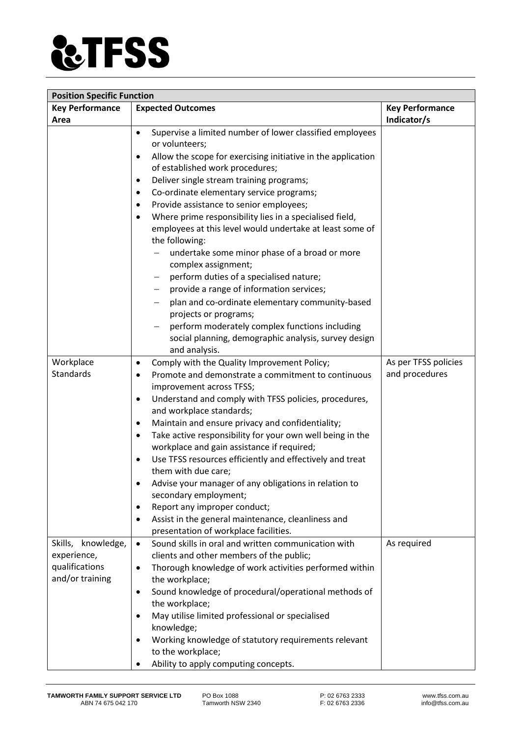

| <b>Position Specific Function</b> |                                                                                     |                      |  |
|-----------------------------------|-------------------------------------------------------------------------------------|----------------------|--|
| <b>Key Performance</b>            | <b>Key Performance</b>                                                              |                      |  |
| Area                              |                                                                                     | Indicator/s          |  |
|                                   | Supervise a limited number of lower classified employees<br>$\bullet$               |                      |  |
|                                   | or volunteers;                                                                      |                      |  |
|                                   | Allow the scope for exercising initiative in the application<br>$\bullet$           |                      |  |
|                                   | of established work procedures;                                                     |                      |  |
|                                   | Deliver single stream training programs;<br>$\bullet$                               |                      |  |
|                                   | Co-ordinate elementary service programs;<br>$\bullet$                               |                      |  |
|                                   | Provide assistance to senior employees;<br>$\bullet$                                |                      |  |
|                                   | Where prime responsibility lies in a specialised field,<br>$\bullet$                |                      |  |
|                                   | employees at this level would undertake at least some of                            |                      |  |
|                                   | the following:                                                                      |                      |  |
|                                   | undertake some minor phase of a broad or more                                       |                      |  |
|                                   | complex assignment;                                                                 |                      |  |
|                                   | perform duties of a specialised nature;                                             |                      |  |
|                                   | provide a range of information services;                                            |                      |  |
|                                   | plan and co-ordinate elementary community-based                                     |                      |  |
|                                   | projects or programs;                                                               |                      |  |
|                                   | perform moderately complex functions including                                      |                      |  |
|                                   | social planning, demographic analysis, survey design                                |                      |  |
|                                   | and analysis.                                                                       |                      |  |
| Workplace                         | Comply with the Quality Improvement Policy;<br>$\bullet$                            | As per TFSS policies |  |
| Standards                         | Promote and demonstrate a commitment to continuous<br>$\bullet$                     | and procedures       |  |
|                                   | improvement across TFSS;                                                            |                      |  |
|                                   | Understand and comply with TFSS policies, procedures,<br>$\bullet$                  |                      |  |
|                                   | and workplace standards;                                                            |                      |  |
|                                   | Maintain and ensure privacy and confidentiality;<br>$\bullet$                       |                      |  |
|                                   | Take active responsibility for your own well being in the<br>$\bullet$              |                      |  |
|                                   | workplace and gain assistance if required;                                          |                      |  |
|                                   | Use TFSS resources efficiently and effectively and treat<br>$\bullet$               |                      |  |
|                                   | them with due care;                                                                 |                      |  |
|                                   | Advise your manager of any obligations in relation to<br>٠<br>secondary employment; |                      |  |
|                                   | Report any improper conduct;                                                        |                      |  |
|                                   | Assist in the general maintenance, cleanliness and                                  |                      |  |
|                                   | presentation of workplace facilities.                                               |                      |  |
| Skills, knowledge,                | Sound skills in oral and written communication with<br>$\bullet$                    | As required          |  |
| experience,                       | clients and other members of the public;                                            |                      |  |
| qualifications                    | Thorough knowledge of work activities performed within<br>$\bullet$                 |                      |  |
| and/or training                   | the workplace;                                                                      |                      |  |
|                                   | Sound knowledge of procedural/operational methods of<br>٠                           |                      |  |
|                                   | the workplace;                                                                      |                      |  |
|                                   | May utilise limited professional or specialised                                     |                      |  |
|                                   | knowledge;                                                                          |                      |  |
|                                   | Working knowledge of statutory requirements relevant                                |                      |  |
|                                   | to the workplace;                                                                   |                      |  |
|                                   | Ability to apply computing concepts.                                                |                      |  |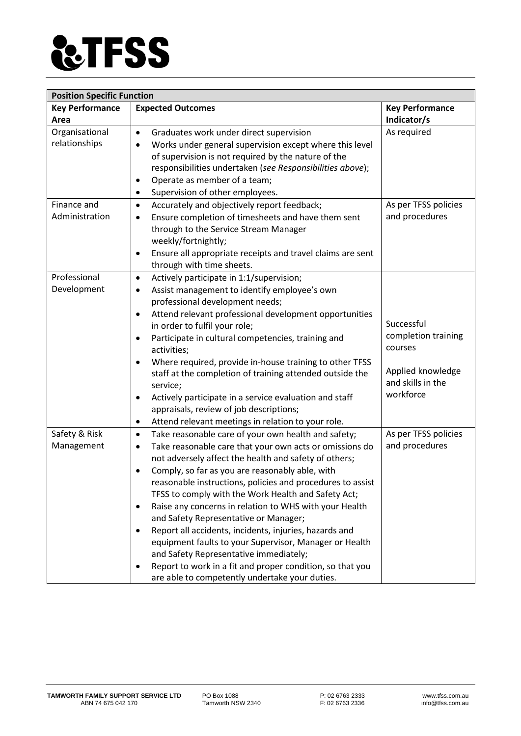

| <b>Position Specific Function</b> |                                                                                                                                                                                                                                                                                                                                                                                                                                                                                                                                                                                                                                                                                                                                                                                          |                                                                                                     |  |
|-----------------------------------|------------------------------------------------------------------------------------------------------------------------------------------------------------------------------------------------------------------------------------------------------------------------------------------------------------------------------------------------------------------------------------------------------------------------------------------------------------------------------------------------------------------------------------------------------------------------------------------------------------------------------------------------------------------------------------------------------------------------------------------------------------------------------------------|-----------------------------------------------------------------------------------------------------|--|
| <b>Key Performance</b><br>Area    | <b>Expected Outcomes</b>                                                                                                                                                                                                                                                                                                                                                                                                                                                                                                                                                                                                                                                                                                                                                                 | <b>Key Performance</b><br>Indicator/s                                                               |  |
| Organisational<br>relationships   | Graduates work under direct supervision<br>$\bullet$<br>Works under general supervision except where this level<br>$\bullet$<br>of supervision is not required by the nature of the<br>responsibilities undertaken (see Responsibilities above);<br>Operate as member of a team;<br>$\bullet$<br>Supervision of other employees.<br>$\bullet$                                                                                                                                                                                                                                                                                                                                                                                                                                            | As required                                                                                         |  |
| Finance and<br>Administration     | Accurately and objectively report feedback;<br>$\bullet$<br>Ensure completion of timesheets and have them sent<br>$\bullet$<br>through to the Service Stream Manager<br>weekly/fortnightly;<br>Ensure all appropriate receipts and travel claims are sent<br>$\bullet$<br>through with time sheets.                                                                                                                                                                                                                                                                                                                                                                                                                                                                                      | As per TFSS policies<br>and procedures                                                              |  |
| Professional<br>Development       | Actively participate in 1:1/supervision;<br>$\bullet$<br>Assist management to identify employee's own<br>$\bullet$<br>professional development needs;<br>Attend relevant professional development opportunities<br>$\bullet$<br>in order to fulfil your role;<br>Participate in cultural competencies, training and<br>٠<br>activities;<br>Where required, provide in-house training to other TFSS<br>$\bullet$<br>staff at the completion of training attended outside the<br>service;<br>Actively participate in a service evaluation and staff<br>٠<br>appraisals, review of job descriptions;<br>Attend relevant meetings in relation to your role.<br>$\bullet$                                                                                                                     | Successful<br>completion training<br>courses<br>Applied knowledge<br>and skills in the<br>workforce |  |
| Safety & Risk<br>Management       | Take reasonable care of your own health and safety;<br>$\bullet$<br>Take reasonable care that your own acts or omissions do<br>$\bullet$<br>not adversely affect the health and safety of others;<br>Comply, so far as you are reasonably able, with<br>$\bullet$<br>reasonable instructions, policies and procedures to assist<br>TFSS to comply with the Work Health and Safety Act;<br>Raise any concerns in relation to WHS with your Health<br>٠<br>and Safety Representative or Manager;<br>Report all accidents, incidents, injuries, hazards and<br>$\bullet$<br>equipment faults to your Supervisor, Manager or Health<br>and Safety Representative immediately;<br>Report to work in a fit and proper condition, so that you<br>are able to competently undertake your duties. | As per TFSS policies<br>and procedures                                                              |  |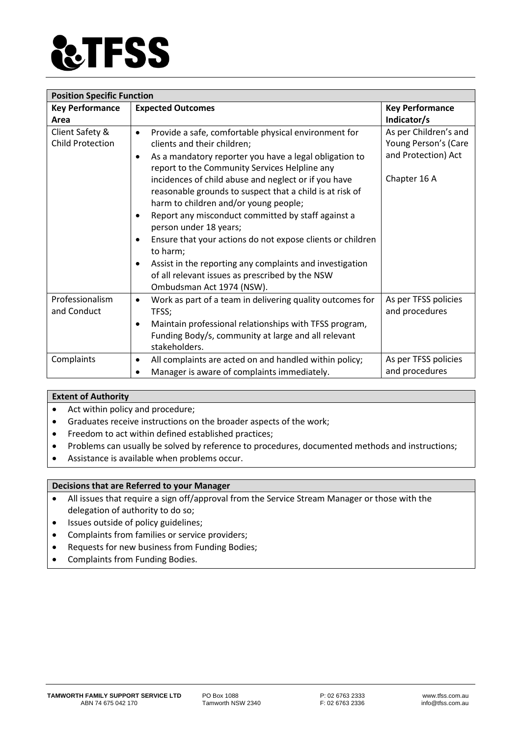

| <b>Position Specific Function</b>          |                                                                                                                                                                                                                                                                                                                                                                                                                                                                                                                                                                                                             |                                                                                      |  |
|--------------------------------------------|-------------------------------------------------------------------------------------------------------------------------------------------------------------------------------------------------------------------------------------------------------------------------------------------------------------------------------------------------------------------------------------------------------------------------------------------------------------------------------------------------------------------------------------------------------------------------------------------------------------|--------------------------------------------------------------------------------------|--|
| <b>Key Performance</b>                     | <b>Expected Outcomes</b>                                                                                                                                                                                                                                                                                                                                                                                                                                                                                                                                                                                    | <b>Key Performance</b>                                                               |  |
| Area                                       |                                                                                                                                                                                                                                                                                                                                                                                                                                                                                                                                                                                                             | Indicator/s                                                                          |  |
| Client Safety &<br><b>Child Protection</b> | Provide a safe, comfortable physical environment for<br>$\bullet$<br>clients and their children;<br>As a mandatory reporter you have a legal obligation to<br>$\bullet$<br>report to the Community Services Helpline any<br>incidences of child abuse and neglect or if you have<br>reasonable grounds to suspect that a child is at risk of<br>harm to children and/or young people;<br>Report any misconduct committed by staff against a<br>person under 18 years;<br>Ensure that your actions do not expose clients or children<br>to harm;<br>Assist in the reporting any complaints and investigation | As per Children's and<br>Young Person's (Care<br>and Protection) Act<br>Chapter 16 A |  |
|                                            | of all relevant issues as prescribed by the NSW<br>Ombudsman Act 1974 (NSW).                                                                                                                                                                                                                                                                                                                                                                                                                                                                                                                                |                                                                                      |  |
| Professionalism<br>and Conduct             | Work as part of a team in delivering quality outcomes for<br>$\bullet$<br>TFSS;<br>Maintain professional relationships with TFSS program,<br>Funding Body/s, community at large and all relevant<br>stakeholders.                                                                                                                                                                                                                                                                                                                                                                                           | As per TFSS policies<br>and procedures                                               |  |
| Complaints                                 | All complaints are acted on and handled within policy;<br>$\bullet$<br>Manager is aware of complaints immediately.                                                                                                                                                                                                                                                                                                                                                                                                                                                                                          | As per TFSS policies<br>and procedures                                               |  |

#### **Extent of Authority**

- Act within policy and procedure;
- Graduates receive instructions on the broader aspects of the work;
- Freedom to act within defined established practices;
- Problems can usually be solved by reference to procedures, documented methods and instructions;
- Assistance is available when problems occur.

#### **Decisions that are Referred to your Manager**

- All issues that require a sign off/approval from the Service Stream Manager or those with the delegation of authority to do so;
- Issues outside of policy guidelines;
- Complaints from families or service providers;
- Requests for new business from Funding Bodies;
- Complaints from Funding Bodies.